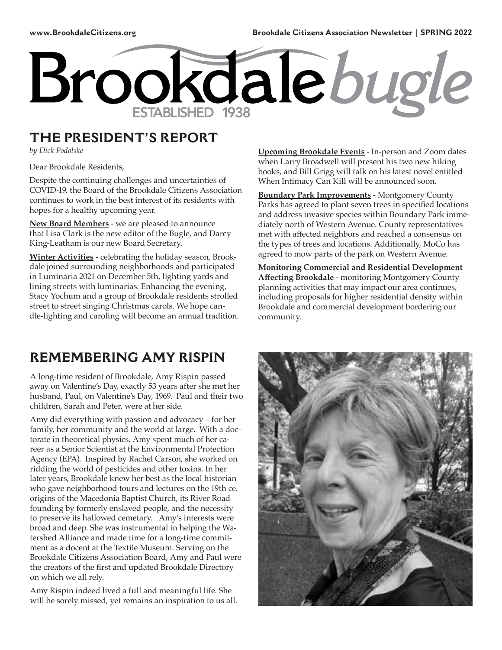# **Brookdalebugle**

# **THE PRESIDENT'S REPORT**

*by Dick Podolske*

Dear Brookdale Residents,

Despite the continuing challenges and uncertainties of COVID-19, the Board of the Brookdale Citizens Association continues to work in the best interest of its residents with hopes for a healthy upcoming year.

**New Board Members** - we are pleased to announce that Lisa Clark is the new editor of the Bugle, and Darcy King-Leatham is our new Board Secretary.

**Winter Activities** - celebrating the holiday season, Brookdale joined surrounding neighborhoods and participated in Luminaria 2021 on December 5th, lighting yards and lining streets with luminarias. Enhancing the evening, Stacy Yochum and a group of Brookdale residents strolled street to street singing Christmas carols. We hope candle-lighting and caroling will become an annual tradition. **Upcoming Brookdale Events** - In-person and Zoom dates when Larry Broadwell will present his two new hiking books, and Bill Grigg will talk on his latest novel entitled When Intimacy Can Kill will be announced soon.

**Boundary Park Improvements** - Montgomery County Parks has agreed to plant seven trees in specified locations and address invasive species within Boundary Park immediately north of Western Avenue. County representatives met with affected neighbors and reached a consensus on the types of trees and locations. Additionally, MoCo has agreed to mow parts of the park on Western Avenue.

**Monitoring Commercial and Residential Development Affecting Brookdale** - monitoring Montgomery County planning activities that may impact our area continues, including proposals for higher residential density within Brookdale and commercial development bordering our community.

## **REMEMBERING AMY RISPIN**

A long-time resident of Brookdale, Amy Rispin passed away on Valentine's Day, exactly 53 years after she met her husband, Paul, on Valentine's Day, 1969. Paul and their two children, Sarah and Peter, were at her side.

Amy did everything with passion and advocacy – for her family, her community and the world at large. With a doctorate in theoretical physics, Amy spent much of her career as a Senior Scientist at the Environmental Protection Agency (EPA). Inspired by Rachel Carson, she worked on ridding the world of pesticides and other toxins. In her later years, Brookdale knew her best as the local historian who gave neighborhood tours and lectures on the 19th ce. origins of the Macedonia Baptist Church, its River Road founding by formerly enslaved people, and the necessity to preserve its hallowed cemetary. Amy's interests were broad and deep. She was instrumental in helping the Watershed Alliance and made time for a long-time commitment as a docent at the Textile Museum. Serving on the Brookdale Citizens Association Board, Amy and Paul were the creators of the first and updated Brookdale Directory on which we all rely.

Amy Rispin indeed lived a full and meaningful life. She will be sorely missed, yet remains an inspiration to us all.

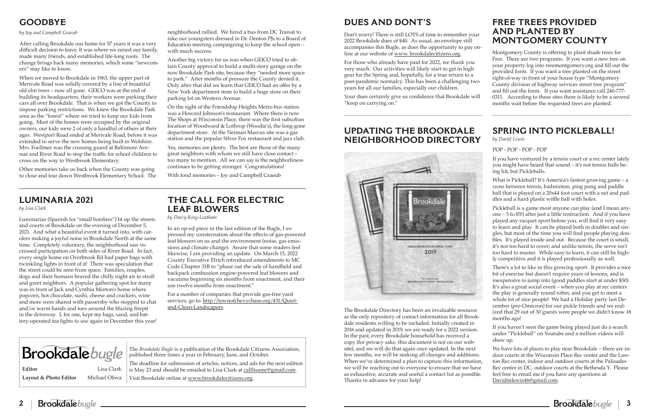The *Brookdale Bugle* is a publication of the Brookdale Citizens Association, published three times a year in February, June, and October.



The deadline for submission of articles, notices, and ads for the next edition is May 23 and should be emailed to Lisa Clark at calllisamc@gmail.com. Visit Brookdale online at www.brookdalecitizens.org.

## **FREE TREES PROVIDED AND PLANTED BY MONTGOMERY COUNTY**

# **GOODBYE**

*by Joy and Campbell Graeub*

After calling Brookdale our home for 57 years it was a very difficult decision to leave. It was where we raised our family, made many friends, and established life-long roots. The change brings back many memories, which some "newcomers" may like to know.

When we moved to Brookdale in 1963, the upper part of Merivale Road was solidly covered by a line of beautiful old elm trees – now all gone. GEICO was at the end of building its headquarters, their workers were parking their cars all over Brookdale. That is when we got the County to impose parking restrictions. We knew the Brookdale Park area as the "forest" where we tried to keep our kids from going. Most of the homes were occupied by the original owners, our kids were 2 of only a handful of others at their ages. Westport Road ended at Merivale Road, before it was extended to serve the new homes being built in Wolshire. Mrs. Foellmer was the crossing guard at Baltimore Avenue and River Road to stop the traffic for school children to cross on the way to Westbrook Elementary.

Other memories take us back when the County was going to close and tear down Westbrook Elementary School. The neighborhood rallied. We hired a bus from DC Transit to take our youngsters dressed in Dr. Denton PJs to a Board of Education meeting campaigning to keep the school open – with much success.

Another big victory for us was when GEICO tried to obtain County approval to build a multi-story garage on the now Brookdale Park site, because they "needed more space to park." After months of pressure the County denied it. Only after that did we learn that GEICO had an offer by a New York department store to build a huge store on their parking lot on Western Avenue.

On the sight of the Friendship Heights Metro bus station was a Howard Johnson's restaurant. Where there is now The Shops at Wisconsin Place, there was the first suburban location of Woodward & Lothrop (Woodie's), the long-gone department store. At the Neiman Marcus site was a gas station and the popular Silver Fox restaurant and jazz club.

Montgomery County is offering to plant shade trees for Free. There are two programs. If you want a new tree on your property log into treemontgomery.org and fill out the provided form. If you want a tree planted on the street right-of-way in front of your house type "Montgomery County division of highway services street tree program" and fill out the form. If you want assistance call 240-777- 0311. According to these sites there is likely to be a several months wait before the requested trees are planted. line at our website of www. brookdalecitizens.org. post-pandemic normalcy. This has been a challenging two Your dues certainly give us confidence that Brookdale will "keep on carrying on."

Yes, memories are plenty. The best are those of the many great neighbors with whom we still have close contact – too many to mention. All we can say is the neighborliness continues to be getting stronger. Congratulations!

With fond memories – Joy and Campbell Graeub

## **THE CALL FOR ELECTRIC LEAF BLOWERS**

*by Darcy King-Leatham*

In an op-ed piece in the last edition of the Bugle, I expressed my consternation about the effects of gas-powered leaf blowers on us and the environment (noise, gas emissions and climate change). Aware that some readers feel likewise, I am providing an update. On March 15, 2022 County Executive Elrich introduced amendments to MC Code Chapter 31B to "phase out the sale of handheld and backpack combustion engine-powered leaf blowers and vacuums beginning six months from enactment, and their use twelve months from enactment."

For a number of companies that provide gas-free yard services, go to: http://townofchevychase.org/431/Quietand-Clean-Landscapers.

## **LUMINARIA 2021**

*by Lisa Clark*

Luminarias (Spanish for "small bonfires") lit up the streets and courts of Brookdale on the evening of December 5, 2021. And what a beautiful event it turned into, with carolers making a joyful noise in Brookdale North at the same time. Completely voluntary, the neighborhood saw increased participation on both sides of River Road. In fact, every single home on Overbrook Rd had paper bags with twinkling lights in front of it! There was speculation that the street could be seen from space. Families, couples, dogs and their humans braved the chilly night air to stroll and greet neighbors. A popular gathering spot for many was in front of Jack and Cynthia Morton's home where popcorn, hot chocolate, sushi, cheese and crackers, wine and more were shared with passersby who stopped to chat and/or warm hands and toes around the blazing firepit in the driveway. I, for one, kept my bags, sand, and battery-operated tea lights to use again in December this year!

# **DUES AND DONT'S**

Don't worry! There is still LOTS of time to remember your 2022 Brookdale dues of \$40. As usual, an envelope still accompanies this Bugle, as does the opportunity to pay on-

For those who already have paid for 2022, we thank you very much. Our activities will likely start to get in high gear for the Spring and, hopefully, for a true return to a years for all our families, especially our children.

# **SPRING INTO PICKLEBALL!**

*by David Lewis*

### POP - POP - POP - POP

If you have ventured by a tennis court or a rec center lately you might have heard that sound – it's not tennis balls being hit, but Pickleballs.

What is Pickleball? It's America's fastest growing game – a cross between tennis, badminton, ping pong and paddle ball that is played on a 20x44 foot court with a net and paddles and a hard plastic wiffle ball with holes.

Pickleball is a game most anyone can play (and I mean anyone – 5 to 85!) after just a little instruction. And if you have played any racquet sport before you, will find it very easy to learn and play. It can be played both in doubles and singles, but most of the time you will find people playing doubles. It's played inside and out. Because the court is small, it's not too hard to cover; and unlike tennis, the serve isn't too hard to master. While easy to learn, it can still be highly competitive and it is played professionally as well.

There's a lot to like in this growing sport. It provides a nice bit of exercise but doesn't require years of lessons, and is inexpensive to jump into (good paddles start at under \$50). It's also a great social event – when you play at rec centers the play is generally round robin, and you get to meet a whole lot of nice people! We had a Holiday party last December (pre-Omicron) for our pickle friends and we realized that 29 out of 30 guests were people we didn't know 18 months ago!

If you haven't seen the game being played just do a search under "Pickleball" on Youtube and a million videos will show up.

We have lots of places to play near Brookdale – there are indoor courts at the Wisconsin Place Rec center and the Lawton Rec center, indoor and outdoor courts at the Palisades Rec center in DC, outdoor courts at the Bethesda Y. Please feel free to email me if you have any questions at: Davidmlewis46@gmail.com.

## **UPDATING THE BROOKDALE NEIGHBORHOOD DIRECTORY**



The Brookdale Directory has been an invaluable resource as the only repository of contact information for all Brookdale residents willing to be included. Initially created in 2016 and updated in 2019, we are ready for a 2022 version. In the past, every Brookdale household has received a copy (for privacy sake, this document is not on our website), and we will do that again once updated. In the next few months, we will be seeking all changes and additions. When we've determined a plan to capture this information, we will be reaching out to everyone to ensure that we have as exhaustive, accurate and useful a contact list as possible. Thanks in advance for your help!